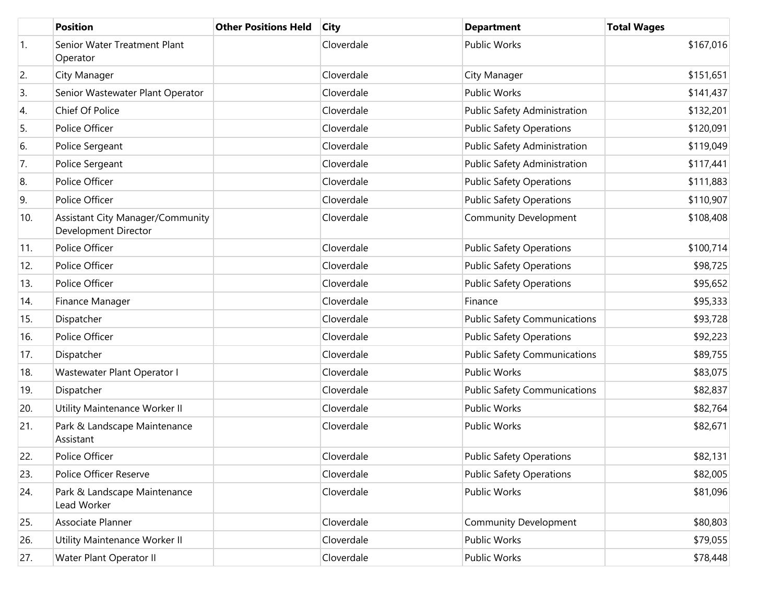|     | <b>Position</b>                                          | <b>Other Positions Held</b> | <b>City</b> | <b>Department</b>                   | <b>Total Wages</b> |
|-----|----------------------------------------------------------|-----------------------------|-------------|-------------------------------------|--------------------|
| 1.  | Senior Water Treatment Plant<br>Operator                 |                             | Cloverdale  | <b>Public Works</b>                 | \$167,016          |
| 2.  | City Manager                                             |                             | Cloverdale  | City Manager                        | \$151,651          |
| 3.  | Senior Wastewater Plant Operator                         |                             | Cloverdale  | <b>Public Works</b>                 | \$141,437          |
| 4.  | Chief Of Police                                          |                             | Cloverdale  | Public Safety Administration        | \$132,201          |
| 5.  | Police Officer                                           |                             | Cloverdale  | <b>Public Safety Operations</b>     | \$120,091          |
| 6.  | Police Sergeant                                          |                             | Cloverdale  | <b>Public Safety Administration</b> | \$119,049          |
| 7.  | Police Sergeant                                          |                             | Cloverdale  | Public Safety Administration        | \$117,441          |
| 8.  | Police Officer                                           |                             | Cloverdale  | <b>Public Safety Operations</b>     | \$111,883          |
| 9.  | Police Officer                                           |                             | Cloverdale  | <b>Public Safety Operations</b>     | \$110,907          |
| 10. | Assistant City Manager/Community<br>Development Director |                             | Cloverdale  | <b>Community Development</b>        | \$108,408          |
| 11. | Police Officer                                           |                             | Cloverdale  | <b>Public Safety Operations</b>     | \$100,714          |
| 12. | Police Officer                                           |                             | Cloverdale  | <b>Public Safety Operations</b>     | \$98,725           |
| 13. | Police Officer                                           |                             | Cloverdale  | <b>Public Safety Operations</b>     | \$95,652           |
| 14. | Finance Manager                                          |                             | Cloverdale  | Finance                             | \$95,333           |
| 15. | Dispatcher                                               |                             | Cloverdale  | <b>Public Safety Communications</b> | \$93,728           |
| 16. | Police Officer                                           |                             | Cloverdale  | <b>Public Safety Operations</b>     | \$92,223           |
| 17. | Dispatcher                                               |                             | Cloverdale  | <b>Public Safety Communications</b> | \$89,755           |
| 18. | Wastewater Plant Operator I                              |                             | Cloverdale  | <b>Public Works</b>                 | \$83,075           |
| 19. | Dispatcher                                               |                             | Cloverdale  | <b>Public Safety Communications</b> | \$82,837           |
| 20. | Utility Maintenance Worker II                            |                             | Cloverdale  | <b>Public Works</b>                 | \$82,764           |
| 21. | Park & Landscape Maintenance<br>Assistant                |                             | Cloverdale  | <b>Public Works</b>                 | \$82,671           |
| 22. | Police Officer                                           |                             | Cloverdale  | <b>Public Safety Operations</b>     | \$82,131           |
| 23. | Police Officer Reserve                                   |                             | Cloverdale  | <b>Public Safety Operations</b>     | \$82,005           |
| 24. | Park & Landscape Maintenance<br>Lead Worker              |                             | Cloverdale  | Public Works                        | \$81,096           |
| 25. | Associate Planner                                        |                             | Cloverdale  | Community Development               | \$80,803           |
| 26. | Utility Maintenance Worker II                            |                             | Cloverdale  | Public Works                        | \$79,055           |
| 27. | Water Plant Operator II                                  |                             | Cloverdale  | Public Works                        | \$78,448           |